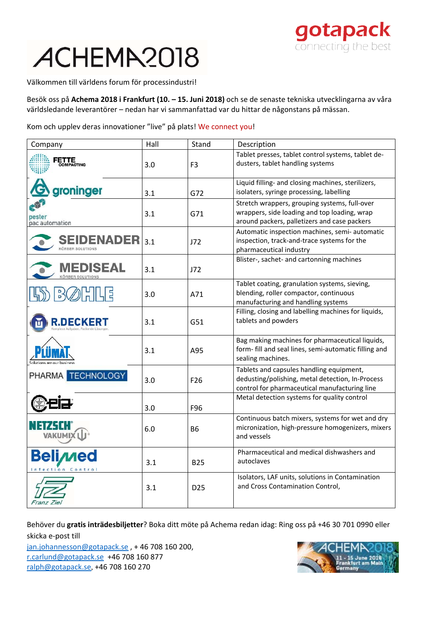## ACHEMA2018



Välkommen till världens forum för processindustri!

Besök oss på **Achema 2018 i Frankfurt (10. – 15. Juni 2018)** och se de senaste tekniska utvecklingarna av våra världsledande leverantörer – nedan har vi sammanfattad var du hittar de någonstans på mässan.

Kom och upplev deras innovationer "live" på plats! We connect you!

| Company                                      | Hall | Stand           | Description                                                                                                                                   |
|----------------------------------------------|------|-----------------|-----------------------------------------------------------------------------------------------------------------------------------------------|
| ETTE<br>OMPACTING                            | 3.0  | F <sub>3</sub>  | Tablet presses, tablet control systems, tablet de-<br>dusters, tablet handling systems                                                        |
| groninger                                    | 3.1  | G72             | Liquid filling- and closing machines, sterilizers,<br>isolaters, syringe processing, labelling                                                |
| pester<br>pac automation                     | 3.1  | G71             | Stretch wrappers, grouping systems, full-over<br>wrappers, side loading and top loading, wrap<br>around packers, palletizers and case packers |
| <b>SEIDENADER</b><br><b>KÖRBER SOLUTIONS</b> | 3.1  | J72             | Automatic inspection machines, semi- automatic<br>inspection, track-and-trace systems for the<br>pharmaceutical industry                      |
| DISEAL<br>ÖRBER SOLUTION                     | 3.1  | J72             | Blister-, sachet- and cartonning machines                                                                                                     |
|                                              | 3.0  | A71             | Tablet coating, granulation systems, sieving,<br>blending, roller compactor, continuous<br>manufacturing and handling systems                 |
|                                              | 3.1  | G51             | Filling, closing and labelling machines for liquids,<br>tablets and powders                                                                   |
|                                              | 3.1  | A95             | Bag making machines for pharmaceutical liquids,<br>form- fill and seal lines, semi-automatic filling and<br>sealing machines.                 |
| PHARMA TECHNOLOGY                            | 3.0  | F <sub>26</sub> | Tablets and capsules handling equipment,<br>dedusting/polishing, metal detection, In-Process<br>control for pharmaceutical manufacturing line |
|                                              | 3.0  | F96             | Metal detection systems for quality control                                                                                                   |
|                                              | 6.0  | B <sub>6</sub>  | Continuous batch mixers, systems for wet and dry<br>micronization, high-pressure homogenizers, mixers<br>and vessels                          |
| <b>Belime</b><br>tion<br>Contro              | 3.1  | <b>B25</b>      | Pharmaceutical and medical dishwashers and<br>autoclaves                                                                                      |
| Franz Ziel                                   | 3.1  | D <sub>25</sub> | Isolators, LAF units, solutions in Contamination<br>and Cross Contamination Control,                                                          |

Behöver du **gratis inträdesbiljetter**? Boka ditt möte på Achema redan idag: Ring oss på +46 30 701 0990 eller skicka e‐post till

jan.johannesson@gotapack.se , + 46 708 160 200, r.carlund@gotapack.se +46 708 160 877 ralph@gotapack.se, +46 708 160 270